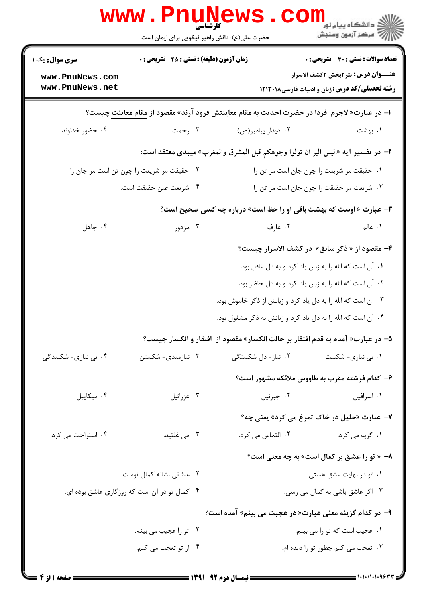|                                                                                              | <b>WWW.Pnung</b><br>حضرت علی(ع): دانش راهبر نیکویی برای ایمان است                                |                                                                                        | ڪ دانشڪاه پيا <sub>م</sub> نور<br><mark>√</mark> مرڪز آزمون وسنڊش |  |  |  |
|----------------------------------------------------------------------------------------------|--------------------------------------------------------------------------------------------------|----------------------------------------------------------------------------------------|-------------------------------------------------------------------|--|--|--|
| <b>سری سوال :</b> یک ۱                                                                       | <b>تعداد سوالات : تستی : 30 ٪ تشریحی : 0</b><br><b>زمان آزمون (دقیقه) : تستی : 45 قشریحی : 0</b> |                                                                                        |                                                                   |  |  |  |
| www.PnuNews.com<br>www.PnuNews.net                                                           |                                                                                                  | <b>رشته تحصیلی/کد درس: زبان و ادبیات فارسی ۱۲۱۳۰۱۸</b>                                 | <b>عنـــوان درس:</b> نثر ۲بخش ۲کشف الاسرار                        |  |  |  |
| ا- در عبارت« لاجرم  فردا در حضرت احدیت به مقام معاینتش فرود آرند» مقصود از مقام معاینت چیست؟ |                                                                                                  |                                                                                        |                                                                   |  |  |  |
| ۰۴ حضور خداوند                                                                               | ۰۳ رحمت                                                                                          | ۰۲ دیدار پیامبر(ص)                                                                     | ۰۱ بهشت                                                           |  |  |  |
|                                                                                              |                                                                                                  | ۲- در تفسیر آیه «لیس البر ان تولوا وجوهکم قبل المشرق والمغرب» میبدی معتقد است:         |                                                                   |  |  |  |
| ٠١ حقيقت مر شريعت را چون جان است مر تن را<br>۰۲ حقیقت مر شریعت را چون تن است مر جان را       |                                                                                                  |                                                                                        |                                                                   |  |  |  |
| ۰۴ شريعت عين حقيقت است.                                                                      |                                                                                                  | ۰۳ شریعت مر حقیقت را چون جان است مر تن را                                              |                                                                   |  |  |  |
| <b>۳</b> - عبارت « اوست که بهشت باقی او را حظ است» درباره چه کسی صحیح است؟                   |                                                                                                  |                                                                                        |                                                                   |  |  |  |
| ۰۴ جاهل                                                                                      | ۰۳ مزدور                                                                                         | ۰۲ عارف                                                                                | ۱. عالم                                                           |  |  |  |
|                                                                                              |                                                                                                  | ۴- مقصود از « ذکر سابق» در کشف الاسرار چیست؟                                           |                                                                   |  |  |  |
|                                                                                              |                                                                                                  | ٠١ آن است كه الله را به زبان ياد كرد و به دل غافل بود.                                 |                                                                   |  |  |  |
|                                                                                              |                                                                                                  | ٠٢ آن است كه الله را به زبان ياد كرد و به دل حاضر بود.                                 |                                                                   |  |  |  |
|                                                                                              | ۰۳ آن است که الله را به دل یاد کرد و زبانش از ذکر خاموش بود.                                     |                                                                                        |                                                                   |  |  |  |
|                                                                                              | ۰۴ آن است که الله را به دل یاد کرد و زبانش به ذکر مشغول بود.                                     |                                                                                        |                                                                   |  |  |  |
|                                                                                              |                                                                                                  | ۵– در عبارت« آمدم به قدم افتقار بر حالت انکسار» مقصود از <u>افتقار و ا</u> نکسار چیست؟ |                                                                   |  |  |  |
| ۰۴ بی نیازی- شکنندگی                                                                         | ۰۳ نیازمندی- شکستن                                                                               | ۰۱ بی نیازی- شکست مسلم ۲۰ نیاز- دل شکستگی                                              |                                                                   |  |  |  |
|                                                                                              |                                                                                                  | ۶– کدام فرشته مقرب به طاووس ملائکه مشهور است؟                                          |                                                                   |  |  |  |
| ۰۴ میکاییل                                                                                   | ۰۳ عزرائيل                                                                                       | ٠١ اسرافيل مستخدم المستخدم المسرافيل . ٢                                               |                                                                   |  |  |  |
|                                                                                              |                                                                                                  | ۷- عبارت «خلیل در خاک تمرغ می کرد» یعنی چه؟                                            |                                                                   |  |  |  |
| ۰۴ استراحت می کرد.                                                                           | ۰۳ می غلتید.                                                                                     |                                                                                        |                                                                   |  |  |  |
|                                                                                              |                                                                                                  | ۸- « تو را عشق بر کمال است» به چه معنی است؟                                            |                                                                   |  |  |  |
|                                                                                              | ۰۲ عاشقی نشانه کمال توست.                                                                        |                                                                                        | ۰۱ تو در نهایت عشق هستی.                                          |  |  |  |
|                                                                                              | ۰۴ کمال تو در آن است که روزگاری عاشق بوده ای.                                                    |                                                                                        | ۰۳ اگر عاشق باشی به کمال می رسی.                                  |  |  |  |
|                                                                                              |                                                                                                  | ۹- در کدام گزینه معنی عبارت« در عجبت می بینم» آمده است؟                                |                                                                   |  |  |  |
| ۰۲ تو را عجیب می بینم.                                                                       |                                                                                                  |                                                                                        | ٠١ عجيب است كه تو را مي بينم.                                     |  |  |  |
|                                                                                              | ۰۴ از تو تعجب می کنم.                                                                            |                                                                                        | ۰۳ تعجب می کنم چطور تو را دیده ام.                                |  |  |  |
|                                                                                              |                                                                                                  |                                                                                        |                                                                   |  |  |  |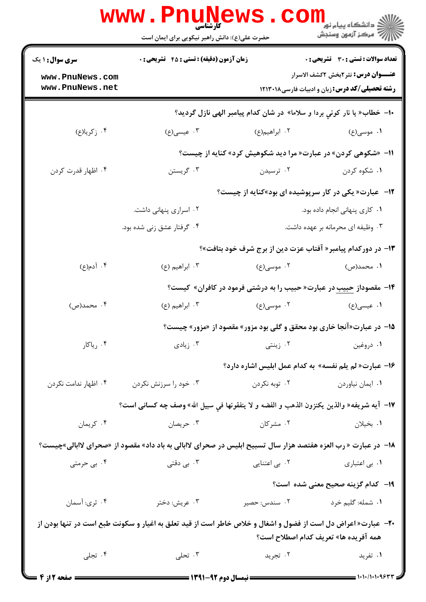|                                    | <b>www.Pnunews</b><br><b>کارشناسی</b><br>حضرت علی(ع): دانش راهبر نیکویی برای ایمان است                               |               | CO.<br><mark>ڪ دانشڪاه پيام نور</mark><br>أأزاله مركز آزمون وسنجش                                   |
|------------------------------------|----------------------------------------------------------------------------------------------------------------------|---------------|-----------------------------------------------------------------------------------------------------|
| <b>سری سوال : ۱ یک</b>             | <b>زمان آزمون (دقیقه) : تستی : 45 تشریحی : 0</b>                                                                     |               | تعداد سوالات : تستى : 30 - تشريحي : 0                                                               |
| www.PnuNews.com<br>www.PnuNews.net |                                                                                                                      |               | <b>عنـــوان درس:</b> نثر ۲بخش ۲کشف الاسرار<br><b>رشته تحصیلی/کد درس:</b> زبان و ادبیات فارسی۱۲۱۳۰۱۸ |
|                                    |                                                                                                                      |               | +ا- خطاب« یا نار کونی بردا و سلاما» در شان کدام پیامبر الهی نازل گردید؟                             |
| ۰۴ زکریا(ع)                        | ۰۳ عیسی(ع)                                                                                                           | ۲. ابراهیم(ع) | ۰۱ موسی(ع)                                                                                          |
|                                    |                                                                                                                      |               | ۱۱- «شکوهی کردن» در عبارت« مرا دید شکوهیش کرد» کنایه از چیست؟                                       |
| ۰۴ اظهار قدرت کردن                 | ۰۳ گريستن                                                                                                            | ۰۲ ترسیدن     | ۰۱ شکوه کردن                                                                                        |
|                                    |                                                                                                                      |               | ۱۲- عبارت« یکی در کار سرپوشیده ای بود»کنایه از چیست؟                                                |
|                                    | ۰۲ اسراری پنهانی داشت.                                                                                               |               | ۰۱ کاری پنهانی انجام داده بود.                                                                      |
|                                    | ۰۴ گرفتار عشق زنی شده بود.                                                                                           |               | ۰۳ وظیفه ای محرمانه بر عهده داشت.                                                                   |
|                                    |                                                                                                                      |               | ۱۳– در دورکدام پیامبر« آفتاب عزت دین از برج شرف خود بتافت»؟                                         |
| ۰۴ آدم(ع)                          | ۰۳ ابراهيم (ع)                                                                                                       | ۰۲ موسی(ع)    | ۱. محمد(ص)                                                                                          |
|                                    |                                                                                                                      |               | <b>۱۴</b> - مقصوداز حبیب در عبارت« حبیب را به درشتی فرمود در کافران» کیست؟                          |
| ۰۴ محمد(ص)                         | ۰۳ ابراهيم (ع)                                                                                                       | ۰۲ موسی(ع)    | ۰۱ عیسی(ع)                                                                                          |
|                                    |                                                                                                                      |               | ۱۵- در عبارت«آنجا خاری بود محقق و گلی بود مزور» مقصود از «مزور» چیست؟                               |
| ۰۴ ریاکار                          |                                                                                                                      |               | ۰۱ دروغین مسلمان ۲۰ زینتی مسلمان به ایرانی ۲۰ و تادی ۲۰ زیادی به سال ۲۰ و تادی                      |
|                                    |                                                                                                                      |               | ۱۶– عبارت« لم یلم نفسه» به کدام عمل ابلیس اشاره دارد؟                                               |
| ۰۴ اظهار ندامت نکردن               | ۰۳ خود را سرزنش نکردن                                                                                                | ۲. توبه نکردن | ۰۱ ایمان نیاوردن                                                                                    |
|                                    | 17- آيه شريفه« والذين يكنزون الذهب و الفضه و لا ينفقونها في سبيل الله» وصف چه كسانى است؟                             |               |                                                                                                     |
| ۰۴ کريمان                          | ۰۳ حريصان                                                                                                            | ۰۲ مشرکان     | ۰۱ بخیلان                                                                                           |
|                                    | ۱۸− در عبارت « رب العزه هفتصد هزار سال تسبیح ابلیس در صحرای لاابالی به باد داد» مقصود از «صحرای لاابالی»چیست؟        |               |                                                                                                     |
| ۰۴ بی حرمتی                        | بی دقتی $\cdot^{\mathsf{v}}$                                                                                         |               |                                                                                                     |
|                                    |                                                                                                                      |               | <b>۱۹</b> - کدام گزینه صحیح معنی شده است؟                                                           |
| ۰۴ ثري: أسمان                      | ۰۳ عریش: دختر                                                                                                        | ۰۲ سندس: حصير | ١. شمله: گليم خرد                                                                                   |
|                                    | <b>۳۰</b> - عبارت« اعراض دل است از فضول و اشغال و خلاص خاطر است از قید تعلق به اغیار و سکونت طبع است در تنها بودن از |               | همه آفریده ها» تعریف کدام اصطلاح است؟                                                               |
| ۰۴ تجلی                            | ۰۳ تحلی                                                                                                              | ۰۲ تجرید      | ۰۱ تفرید                                                                                            |
|                                    |                                                                                                                      |               | $-$ 1.1.11.1.4634                                                                                   |

r g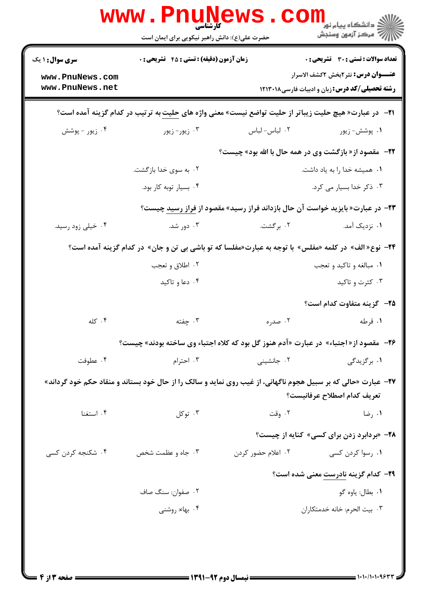|                                                                                                                                                      | www . Pn<br><b>۔ کارشناسی</b><br>حضرت علی(ع): دانش راهبر نیکویی برای ایمان است        |                    | دانشگاه پيام نو <mark>ر</mark><br>ے<br>ج <sup>7</sup> مرکز آزمون وسنجش                                                                      |  |
|------------------------------------------------------------------------------------------------------------------------------------------------------|---------------------------------------------------------------------------------------|--------------------|---------------------------------------------------------------------------------------------------------------------------------------------|--|
| <b>سری سوال : ۱ یک</b><br>www.PnuNews.com<br>www.PnuNews.net                                                                                         | <b>زمان آزمون (دقیقه) : تستی : 45 قشریحی : 0</b>                                      |                    | تعداد سوالات : تستى : 30 - تشريحي : 0<br><b>عنـــوان درس:</b> نثر2بخش 2کشف الاسرار<br><b>رشته تحصیلی/کد درس:</b> زبان و ادبیات فارسی۱۲۱۳۰۱۸ |  |
|                                                                                                                                                      |                                                                                       |                    | <b>ا۲−٪ در عبارت« هیچ حلیت زیباتر از حلیت تواضع نیست» معنی واژه های حلیت به ترتیب در کدام گزینه آمده است؟</b>                               |  |
| ۰۴ زیور - پوشش                                                                                                                                       | ۰۳ زیور- زیور                                                                         | ۰۲ لباس- لباس      | ۰۱ پوشش- زيور                                                                                                                               |  |
|                                                                                                                                                      |                                                                                       |                    | 22-   مقصود از « بازگشت وی در همه حال با الله بود» چیست؟                                                                                    |  |
|                                                                                                                                                      | ۰۲ به سوی خدا بازگشت.                                                                 |                    | ٠١ هميشه خدا را به ياد داشت.                                                                                                                |  |
|                                                                                                                                                      | ۰۴ بسیار توبه کار بود.                                                                |                    | ۰۳ ذکر خدا بسیار می کرد.                                                                                                                    |  |
|                                                                                                                                                      | <b>۲۳</b> - در عبارت« بایزید خواست آن حال بازداند فراز رسید» مقصود از فراز رسید چیست؟ |                    |                                                                                                                                             |  |
| ۰۴ خیلی زود رسید.                                                                                                                                    | ۰۳ دور شد.                                                                            | ۲. برگشت.          | ۰۱ نزدیک آمد.                                                                                                                               |  |
|                                                                                                                                                      |                                                                                       |                    | ۲۴− نوع« الف» در کلمه «مفلس» با توجه به عبارت«مفلسا که تو باشی بی تن و جان» در کدام گزینه آمده است؟                                         |  |
|                                                                                                                                                      | ۰۲ اطلاق و تعجب                                                                       |                    | ۰۱ مبالغه و تاکید و تعجب                                                                                                                    |  |
|                                                                                                                                                      | ۰۴ دعا و تاکید                                                                        |                    | ۰۳ کثرت و تاکید                                                                                                                             |  |
|                                                                                                                                                      |                                                                                       |                    | <b>۲۵</b> - گزینه متفاوت کدام است؟                                                                                                          |  |
| ۰۴ کله                                                                                                                                               | ۰۳ چفته                                                                               | ۰۲ صدره            | ۰۱ قرطه                                                                                                                                     |  |
|                                                                                                                                                      |                                                                                       |                    | <b>۲۶</b> - مقصود از«اجتباء» در عبارت «آدم هنوز گل بود که کلاه اجتباء وی ساخته بودند» چیست؟                                                 |  |
| ۰۴ عطوفت                                                                                                                                             | ۰۳ احترام                                                                             | ۰۲ جانشینی         | ۰۱ برگزیدگی                                                                                                                                 |  |
| <b>۲۷</b> - عبارت «حالی که بر سبیل هجوم ناگهانی، از غیب روی نماید و سالک را از حال خود بستاند و منقاد حکم خود گرداند»<br>تعريف كدام اصطلاح عرفانيست؟ |                                                                                       |                    |                                                                                                                                             |  |
| ۰۴ استغنا                                                                                                                                            | ۰۳ توکل                                                                               | ۰۲ وقت             | ۰۱ رضا                                                                                                                                      |  |
|                                                                                                                                                      |                                                                                       |                    | <b>۲۸</b> - «بردابرد زدن برای کسی» کنایه از چیست؟                                                                                           |  |
| ۰۴ شکنجه کردن کسی                                                                                                                                    | ۰۳ جاه و عظمت شخص                                                                     | ۰۲ اعلام حضور کردن | ۰۱ رسوا کردن کسی                                                                                                                            |  |
|                                                                                                                                                      |                                                                                       |                    | <b>۲۹</b> - کدام گزینه نادرست معنی شده است؟                                                                                                 |  |
|                                                                                                                                                      | ۰۲ صفوان: سنگ صاف                                                                     |                    | ۰۱ بطال: ياوه گو                                                                                                                            |  |
|                                                                                                                                                      | ۰۴ بهاء: روشني                                                                        |                    | ٠٣ بيت الحرم: خانه خدمتكاران                                                                                                                |  |
|                                                                                                                                                      |                                                                                       |                    |                                                                                                                                             |  |